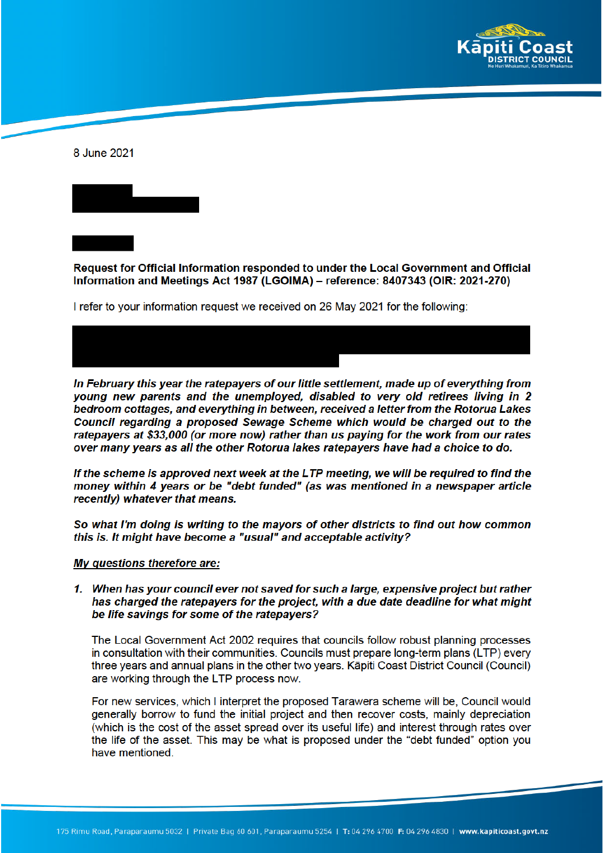

8 June 2021

Request for Official Information responded to under the Local Government and Official Information and Meetings Act 1987 (LGOIMA) – reference: 8407343 (OIR: 2021-270)

I refer to your information request we received on 26 May 2021 for the following:



In February this year the ratepayers of our little settlement, made up of everything from young new parents and the unemployed, disabled to very old retirees living in 2 bedroom cottages, and everything in between, received a letter from the Rotorua Lakes Council regarding a proposed Sewage Scheme which would be charged out to the ratepayers at \$33,000 (or more now) rather than us paying for the work from our rates over many years as all the other Rotorua lakes ratepayers have had a choice to do.

If the scheme is approved next week at the LTP meeting, we will be required to find the money within 4 years or be "debt funded" (as was mentioned in a newspaper article recently) whatever that means.

So what I'm doing is writing to the mayors of other districts to find out how common this is. It might have become a "usual" and acceptable activity?

#### My questions therefore are:

1. When has your council ever not saved for such a large, expensive project but rather has charged the ratepayers for the project, with a due date deadline for what might be life savings for some of the ratepayers?

The Local Government Act 2002 requires that councils follow robust planning processes in consultation with their communities. Councils must prepare long-term plans (LTP) every three years and annual plans in the other two years. Kāpiti Coast District Council (Council) are working through the LTP process now.

For new services, which I interpret the proposed Tarawera scheme will be, Council would generally borrow to fund the initial project and then recover costs, mainly depreciation (which is the cost of the asset spread over its useful life) and interest through rates over the life of the asset. This may be what is proposed under the "debt funded" option you have mentioned.